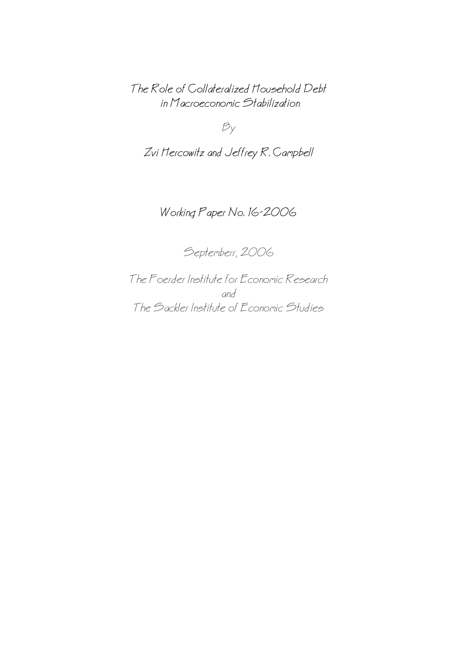The Role of Collateralized Household Debt in Macroeconomic Stabilization

 $B_y$ 

Zvi Hercowitz and Jeffrey R. Campbell

# Working Paper No. 16−2006

Septemberr, 2006

The Foerder Institute for Economic Research and The Sackler Institute of Economic Studies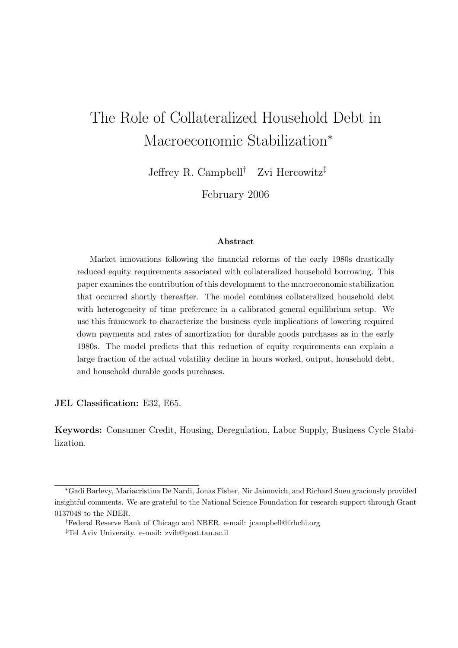# The Role of Collateralized Household Debt in Macroeconomic Stabilization<sup>∗</sup>

Jeffrey R. Campbell<sup>†</sup> Zvi Hercowitz<sup>‡</sup>

February 2006

#### Abstract

Market innovations following the financial reforms of the early 1980s drastically reduced equity requirements associated with collateralized household borrowing. This paper examines the contribution of this development to the macroeconomic stabilization that occurred shortly thereafter. The model combines collateralized household debt with heterogeneity of time preference in a calibrated general equilibrium setup. We use this framework to characterize the business cycle implications of lowering required down payments and rates of amortization for durable goods purchases as in the early 1980s. The model predicts that this reduction of equity requirements can explain a large fraction of the actual volatility decline in hours worked, output, household debt, and household durable goods purchases.

JEL Classification: E32, E65.

Keywords: Consumer Credit, Housing, Deregulation, Labor Supply, Business Cycle Stabilization.

<sup>∗</sup>Gadi Barlevy, Mariacristina De Nardi, Jonas Fisher, Nir Jaimovich, and Richard Suen graciously provided insightful comments. We are grateful to the National Science Foundation for research support through Grant 0137048 to the NBER.

<sup>†</sup>Federal Reserve Bank of Chicago and NBER. e-mail: jcampbell@frbchi.org

<sup>‡</sup>Tel Aviv University. e-mail: zvih@post.tau.ac.il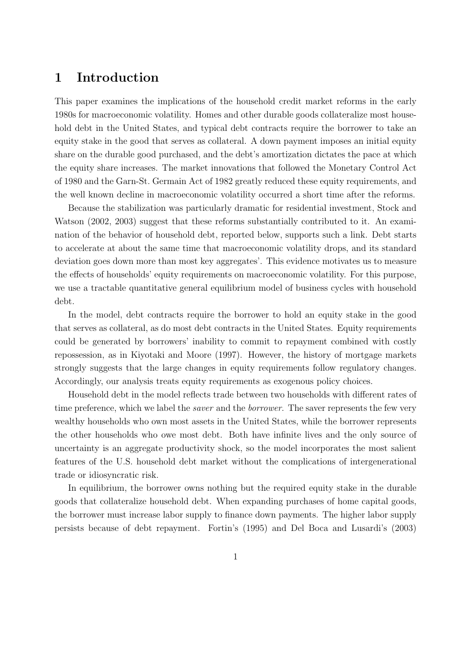### 1 Introduction

This paper examines the implications of the household credit market reforms in the early 1980s for macroeconomic volatility. Homes and other durable goods collateralize most household debt in the United States, and typical debt contracts require the borrower to take an equity stake in the good that serves as collateral. A down payment imposes an initial equity share on the durable good purchased, and the debt's amortization dictates the pace at which the equity share increases. The market innovations that followed the Monetary Control Act of 1980 and the Garn-St. Germain Act of 1982 greatly reduced these equity requirements, and the well known decline in macroeconomic volatility occurred a short time after the reforms.

Because the stabilization was particularly dramatic for residential investment, Stock and Watson (2002, 2003) suggest that these reforms substantially contributed to it. An examination of the behavior of household debt, reported below, supports such a link. Debt starts to accelerate at about the same time that macroeconomic volatility drops, and its standard deviation goes down more than most key aggregates'. This evidence motivates us to measure the effects of households' equity requirements on macroeconomic volatility. For this purpose, we use a tractable quantitative general equilibrium model of business cycles with household debt.

In the model, debt contracts require the borrower to hold an equity stake in the good that serves as collateral, as do most debt contracts in the United States. Equity requirements could be generated by borrowers' inability to commit to repayment combined with costly repossession, as in Kiyotaki and Moore (1997). However, the history of mortgage markets strongly suggests that the large changes in equity requirements follow regulatory changes. Accordingly, our analysis treats equity requirements as exogenous policy choices.

Household debt in the model reflects trade between two households with different rates of time preference, which we label the *saver* and the *borrower*. The saver represents the few very wealthy households who own most assets in the United States, while the borrower represents the other households who owe most debt. Both have infinite lives and the only source of uncertainty is an aggregate productivity shock, so the model incorporates the most salient features of the U.S. household debt market without the complications of intergenerational trade or idiosyncratic risk.

In equilibrium, the borrower owns nothing but the required equity stake in the durable goods that collateralize household debt. When expanding purchases of home capital goods, the borrower must increase labor supply to finance down payments. The higher labor supply persists because of debt repayment. Fortin's (1995) and Del Boca and Lusardi's (2003)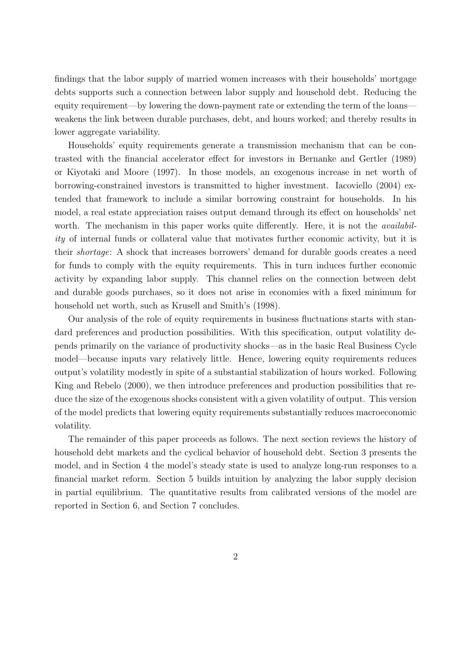findings that the labor supply of married women increases with their households' mortgage debts supports such a connection between labor supply and household debt. Reducing the equity requirement—by lowering the down-payment rate or extending the term of the loans weakens the link between durable purchases, debt, and hours worked; and thereby results in lower aggregate variability.

Households' equity requirements generate a transmission mechanism that can be contrasted with the financial accelerator effect for investors in Bernanke and Gertler (1989) or Kiyotaki and Moore (1997). In those models, an exogenous increase in net worth of borrowing-constrained investors is transmitted to higher investment. Iacoviello (2004) extended that framework to include a similar borrowing constraint for households. In his model, a real estate appreciation raises output demand through its effect on households' net worth. The mechanism in this paper works quite differently. Here, it is not the *availabil*ity of internal funds or collateral value that motivates further economic activity, but it is their shortage: A shock that increases borrowers' demand for durable goods creates a need for funds to comply with the equity requirements. This in turn induces further economic activity by expanding labor supply. This channel relies on the connection between debt and durable goods purchases, so it does not arise in economies with a fixed minimum for household net worth, such as Krusell and Smith's (1998).

Our analysis of the role of equity requirements in business fluctuations starts with standard preferences and production possibilities. With this specification, output volatility depends primarily on the variance of productivity shocks—as in the basic Real Business Cycle model—because inputs vary relatively little. Hence, lowering equity requirements reduces output's volatility modestly in spite of a substantial stabilization of hours worked. Following King and Rebelo (2000), we then introduce preferences and production possibilities that reduce the size of the exogenous shocks consistent with a given volatility of output. This version of the model predicts that lowering equity requirements substantially reduces macroeconomic volatility.

The remainder of this paper proceeds as follows. The next section reviews the history of household debt markets and the cyclical behavior of household debt. Section 3 presents the model, and in Section 4 the model's steady state is used to analyze long-run responses to a financial market reform. Section 5 builds intuition by analyzing the labor supply decision in partial equilibrium. The quantitative results from calibrated versions of the model are reported in Section 6, and Section 7 concludes.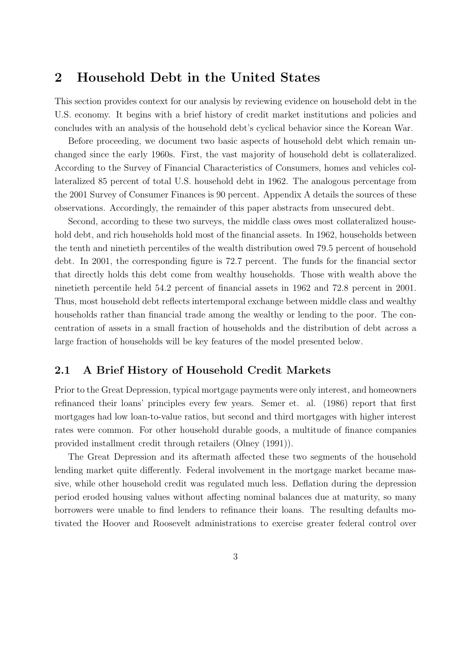### 2 Household Debt in the United States

This section provides context for our analysis by reviewing evidence on household debt in the U.S. economy. It begins with a brief history of credit market institutions and policies and concludes with an analysis of the household debt's cyclical behavior since the Korean War.

Before proceeding, we document two basic aspects of household debt which remain unchanged since the early 1960s. First, the vast majority of household debt is collateralized. According to the Survey of Financial Characteristics of Consumers, homes and vehicles collateralized 85 percent of total U.S. household debt in 1962. The analogous percentage from the 2001 Survey of Consumer Finances is 90 percent. Appendix A details the sources of these observations. Accordingly, the remainder of this paper abstracts from unsecured debt.

Second, according to these two surveys, the middle class owes most collateralized household debt, and rich households hold most of the financial assets. In 1962, households between the tenth and ninetieth percentiles of the wealth distribution owed 79.5 percent of household debt. In 2001, the corresponding figure is 72.7 percent. The funds for the financial sector that directly holds this debt come from wealthy households. Those with wealth above the ninetieth percentile held 54.2 percent of financial assets in 1962 and 72.8 percent in 2001. Thus, most household debt reflects intertemporal exchange between middle class and wealthy households rather than financial trade among the wealthy or lending to the poor. The concentration of assets in a small fraction of households and the distribution of debt across a large fraction of households will be key features of the model presented below.

#### 2.1 A Brief History of Household Credit Markets

Prior to the Great Depression, typical mortgage payments were only interest, and homeowners refinanced their loans' principles every few years. Semer et. al. (1986) report that first mortgages had low loan-to-value ratios, but second and third mortgages with higher interest rates were common. For other household durable goods, a multitude of finance companies provided installment credit through retailers (Olney (1991)).

The Great Depression and its aftermath affected these two segments of the household lending market quite differently. Federal involvement in the mortgage market became massive, while other household credit was regulated much less. Deflation during the depression period eroded housing values without affecting nominal balances due at maturity, so many borrowers were unable to find lenders to refinance their loans. The resulting defaults motivated the Hoover and Roosevelt administrations to exercise greater federal control over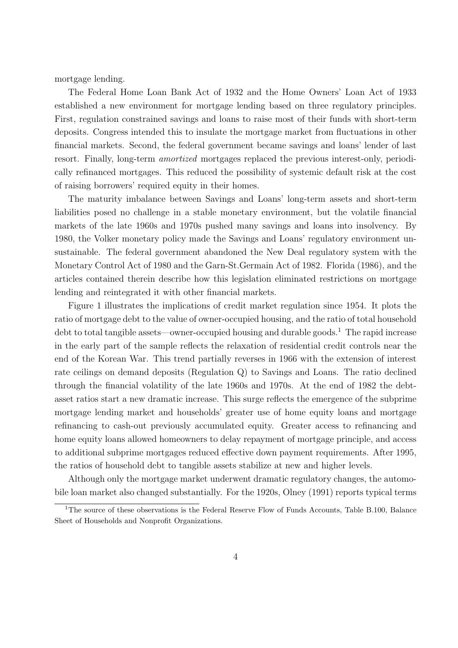mortgage lending.

The Federal Home Loan Bank Act of 1932 and the Home Owners' Loan Act of 1933 established a new environment for mortgage lending based on three regulatory principles. First, regulation constrained savings and loans to raise most of their funds with short-term deposits. Congress intended this to insulate the mortgage market from fluctuations in other financial markets. Second, the federal government became savings and loans' lender of last resort. Finally, long-term amortized mortgages replaced the previous interest-only, periodically refinanced mortgages. This reduced the possibility of systemic default risk at the cost of raising borrowers' required equity in their homes.

The maturity imbalance between Savings and Loans' long-term assets and short-term liabilities posed no challenge in a stable monetary environment, but the volatile financial markets of the late 1960s and 1970s pushed many savings and loans into insolvency. By 1980, the Volker monetary policy made the Savings and Loans' regulatory environment unsustainable. The federal government abandoned the New Deal regulatory system with the Monetary Control Act of 1980 and the Garn-St.Germain Act of 1982. Florida (1986), and the articles contained therein describe how this legislation eliminated restrictions on mortgage lending and reintegrated it with other financial markets.

Figure 1 illustrates the implications of credit market regulation since 1954. It plots the ratio of mortgage debt to the value of owner-occupied housing, and the ratio of total household debt to total tangible assets—owner-occupied housing and durable goods.<sup>1</sup> The rapid increase in the early part of the sample reflects the relaxation of residential credit controls near the end of the Korean War. This trend partially reverses in 1966 with the extension of interest rate ceilings on demand deposits (Regulation Q) to Savings and Loans. The ratio declined through the financial volatility of the late 1960s and 1970s. At the end of 1982 the debtasset ratios start a new dramatic increase. This surge reflects the emergence of the subprime mortgage lending market and households' greater use of home equity loans and mortgage refinancing to cash-out previously accumulated equity. Greater access to refinancing and home equity loans allowed homeowners to delay repayment of mortgage principle, and access to additional subprime mortgages reduced effective down payment requirements. After 1995, the ratios of household debt to tangible assets stabilize at new and higher levels.

Although only the mortgage market underwent dramatic regulatory changes, the automobile loan market also changed substantially. For the 1920s, Olney (1991) reports typical terms

<sup>&</sup>lt;sup>1</sup>The source of these observations is the Federal Reserve Flow of Funds Accounts, Table B.100, Balance Sheet of Households and Nonprofit Organizations.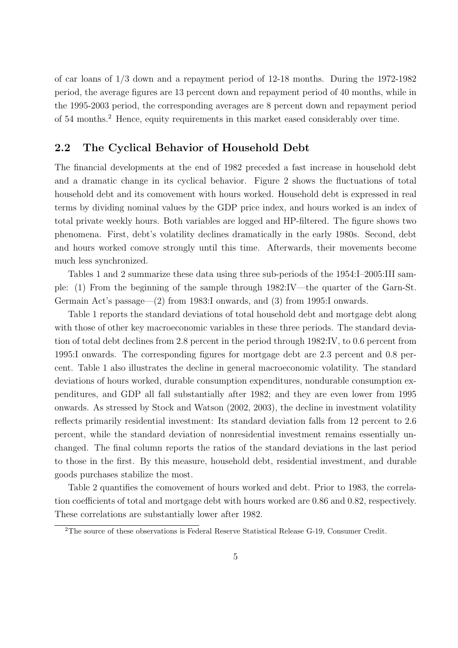of car loans of 1/3 down and a repayment period of 12-18 months. During the 1972-1982 period, the average figures are 13 percent down and repayment period of 40 months, while in the 1995-2003 period, the corresponding averages are 8 percent down and repayment period of 54 months.<sup>2</sup> Hence, equity requirements in this market eased considerably over time.

#### 2.2 The Cyclical Behavior of Household Debt

The financial developments at the end of 1982 preceded a fast increase in household debt and a dramatic change in its cyclical behavior. Figure 2 shows the fluctuations of total household debt and its comovement with hours worked. Household debt is expressed in real terms by dividing nominal values by the GDP price index, and hours worked is an index of total private weekly hours. Both variables are logged and HP-filtered. The figure shows two phenomena. First, debt's volatility declines dramatically in the early 1980s. Second, debt and hours worked comove strongly until this time. Afterwards, their movements become much less synchronized.

Tables 1 and 2 summarize these data using three sub-periods of the 1954:I–2005:III sample: (1) From the beginning of the sample through 1982:IV—the quarter of the Garn-St. Germain Act's passage—(2) from 1983:I onwards, and (3) from 1995:I onwards.

Table 1 reports the standard deviations of total household debt and mortgage debt along with those of other key macroeconomic variables in these three periods. The standard deviation of total debt declines from 2.8 percent in the period through 1982:IV, to 0.6 percent from 1995:I onwards. The corresponding figures for mortgage debt are 2.3 percent and 0.8 percent. Table 1 also illustrates the decline in general macroeconomic volatility. The standard deviations of hours worked, durable consumption expenditures, nondurable consumption expenditures, and GDP all fall substantially after 1982; and they are even lower from 1995 onwards. As stressed by Stock and Watson (2002, 2003), the decline in investment volatility reflects primarily residential investment: Its standard deviation falls from 12 percent to 2.6 percent, while the standard deviation of nonresidential investment remains essentially unchanged. The final column reports the ratios of the standard deviations in the last period to those in the first. By this measure, household debt, residential investment, and durable goods purchases stabilize the most.

Table 2 quantifies the comovement of hours worked and debt. Prior to 1983, the correlation coefficients of total and mortgage debt with hours worked are 0.86 and 0.82, respectively. These correlations are substantially lower after 1982.

<sup>&</sup>lt;sup>2</sup>The source of these observations is Federal Reserve Statistical Release G-19, Consumer Credit.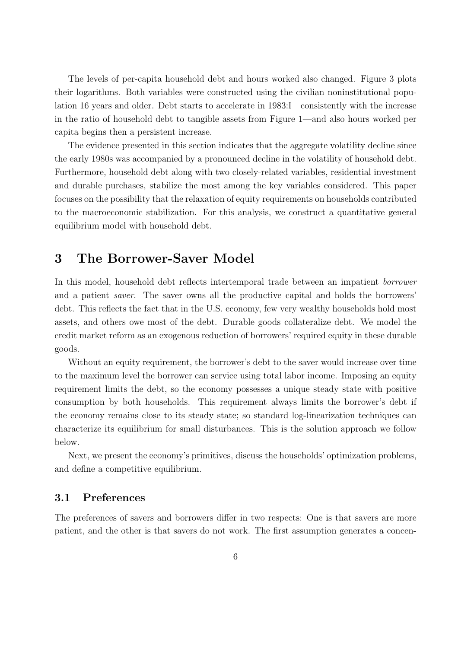The levels of per-capita household debt and hours worked also changed. Figure 3 plots their logarithms. Both variables were constructed using the civilian noninstitutional population 16 years and older. Debt starts to accelerate in 1983:I—consistently with the increase in the ratio of household debt to tangible assets from Figure 1—and also hours worked per capita begins then a persistent increase.

The evidence presented in this section indicates that the aggregate volatility decline since the early 1980s was accompanied by a pronounced decline in the volatility of household debt. Furthermore, household debt along with two closely-related variables, residential investment and durable purchases, stabilize the most among the key variables considered. This paper focuses on the possibility that the relaxation of equity requirements on households contributed to the macroeconomic stabilization. For this analysis, we construct a quantitative general equilibrium model with household debt.

### 3 The Borrower-Saver Model

In this model, household debt reflects intertemporal trade between an impatient borrower and a patient saver. The saver owns all the productive capital and holds the borrowers' debt. This reflects the fact that in the U.S. economy, few very wealthy households hold most assets, and others owe most of the debt. Durable goods collateralize debt. We model the credit market reform as an exogenous reduction of borrowers' required equity in these durable goods.

Without an equity requirement, the borrower's debt to the saver would increase over time to the maximum level the borrower can service using total labor income. Imposing an equity requirement limits the debt, so the economy possesses a unique steady state with positive consumption by both households. This requirement always limits the borrower's debt if the economy remains close to its steady state; so standard log-linearization techniques can characterize its equilibrium for small disturbances. This is the solution approach we follow below.

Next, we present the economy's primitives, discuss the households' optimization problems, and define a competitive equilibrium.

#### 3.1 Preferences

The preferences of savers and borrowers differ in two respects: One is that savers are more patient, and the other is that savers do not work. The first assumption generates a concen-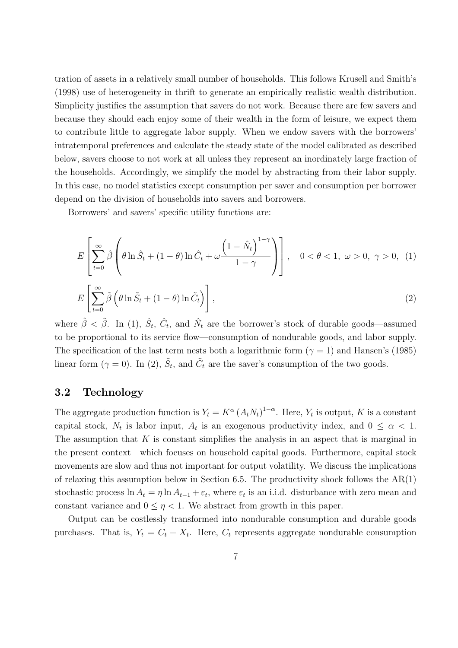tration of assets in a relatively small number of households. This follows Krusell and Smith's (1998) use of heterogeneity in thrift to generate an empirically realistic wealth distribution. Simplicity justifies the assumption that savers do not work. Because there are few savers and because they should each enjoy some of their wealth in the form of leisure, we expect them to contribute little to aggregate labor supply. When we endow savers with the borrowers' intratemporal preferences and calculate the steady state of the model calibrated as described below, savers choose to not work at all unless they represent an inordinately large fraction of the households. Accordingly, we simplify the model by abstracting from their labor supply. In this case, no model statistics except consumption per saver and consumption per borrower depend on the division of households into savers and borrowers.

Borrowers' and savers' specific utility functions are:

$$
E\left[\sum_{t=0}^{\infty} \hat{\beta} \left(\theta \ln \hat{S}_t + (1-\theta) \ln \hat{C}_t + \omega \frac{\left(1-\hat{N}_t\right)^{1-\gamma}}{1-\gamma}\right)\right], \quad 0 < \theta < 1, \ \omega > 0, \ \gamma > 0, \ (1)
$$
  

$$
E\left[\sum_{t=0}^{\infty} \tilde{\beta} \left(\theta \ln \tilde{S}_t + (1-\theta) \ln \tilde{C}_t\right)\right], \tag{2}
$$

where  $\hat{\beta} < \tilde{\beta}$ . In (1),  $\hat{S}_t$ ,  $\hat{C}_t$ , and  $\hat{N}_t$  are the borrower's stock of durable goods—assumed to be proportional to its service flow—consumption of nondurable goods, and labor supply. The specification of the last term nests both a logarithmic form ( $\gamma = 1$ ) and Hansen's (1985) linear form ( $\gamma = 0$ ). In (2),  $\tilde{S}_t$ , and  $\tilde{C}_t$  are the saver's consumption of the two goods.

#### 3.2 Technology

The aggregate production function is  $Y_t = K^{\alpha} (A_t N_t)^{1-\alpha}$ . Here,  $Y_t$  is output, K is a constant capital stock,  $N_t$  is labor input,  $A_t$  is an exogenous productivity index, and  $0 \leq \alpha < 1$ . The assumption that  $K$  is constant simplifies the analysis in an aspect that is marginal in the present context—which focuses on household capital goods. Furthermore, capital stock movements are slow and thus not important for output volatility. We discuss the implications of relaxing this assumption below in Section 6.5. The productivity shock follows the AR(1) stochastic process  $\ln A_t = \eta \ln A_{t-1} + \varepsilon_t$ , where  $\varepsilon_t$  is an i.i.d. disturbance with zero mean and constant variance and  $0 \leq \eta < 1$ . We abstract from growth in this paper.

Output can be costlessly transformed into nondurable consumption and durable goods purchases. That is,  $Y_t = C_t + X_t$ . Here,  $C_t$  represents aggregate nondurable consumption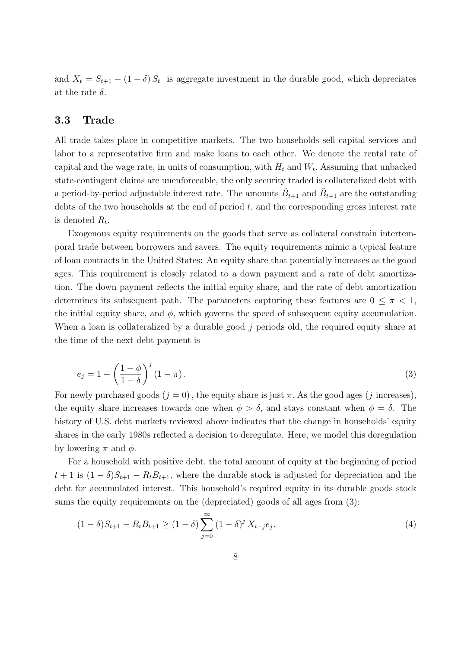and  $X_t = S_{t+1} - (1 - \delta) S_t$  is aggregate investment in the durable good, which depreciates at the rate  $\delta$ .

#### 3.3 Trade

All trade takes place in competitive markets. The two households sell capital services and labor to a representative firm and make loans to each other. We denote the rental rate of capital and the wage rate, in units of consumption, with  $H_t$  and  $W_t$ . Assuming that unbacked state-contingent claims are unenforceable, the only security traded is collateralized debt with a period-by-period adjustable interest rate. The amounts  $\hat{B}_{t+1}$  and  $\tilde{B}_{t+1}$  are the outstanding debts of the two households at the end of period  $t$ , and the corresponding gross interest rate is denoted  $R_t$ .

Exogenous equity requirements on the goods that serve as collateral constrain intertemporal trade between borrowers and savers. The equity requirements mimic a typical feature of loan contracts in the United States: An equity share that potentially increases as the good ages. This requirement is closely related to a down payment and a rate of debt amortization. The down payment reflects the initial equity share, and the rate of debt amortization determines its subsequent path. The parameters capturing these features are  $0 \leq \pi < 1$ , the initial equity share, and  $\phi$ , which governs the speed of subsequent equity accumulation. When a loan is collateralized by a durable good j periods old, the required equity share at the time of the next debt payment is

$$
e_j = 1 - \left(\frac{1-\phi}{1-\delta}\right)^j (1-\pi). \tag{3}
$$

For newly purchased goods  $(j = 0)$ , the equity share is just  $\pi$ . As the good ages (j increases), the equity share increases towards one when  $\phi > \delta$ , and stays constant when  $\phi = \delta$ . The history of U.S. debt markets reviewed above indicates that the change in households' equity shares in the early 1980s reflected a decision to deregulate. Here, we model this deregulation by lowering  $\pi$  and  $\phi$ .

For a household with positive debt, the total amount of equity at the beginning of period  $t + 1$  is  $(1 - \delta)S_{t+1} - R_t B_{t+1}$ , where the durable stock is adjusted for depreciation and the debt for accumulated interest. This household's required equity in its durable goods stock sums the equity requirements on the (depreciated) goods of all ages from (3):

$$
(1 - \delta)S_{t+1} - R_t B_{t+1} \ge (1 - \delta) \sum_{j=0}^{\infty} (1 - \delta)^j X_{t-j} e_j.
$$
\n(4)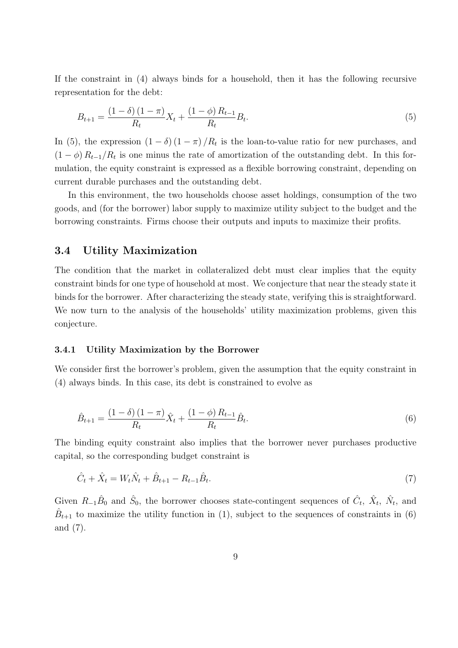If the constraint in (4) always binds for a household, then it has the following recursive representation for the debt:

$$
B_{t+1} = \frac{(1 - \delta)(1 - \pi)}{R_t} X_t + \frac{(1 - \phi)R_{t-1}}{R_t} B_t.
$$
\n<sup>(5)</sup>

In (5), the expression  $(1 - \delta) (1 - \pi) / R_t$  is the loan-to-value ratio for new purchases, and  $(1 - \phi) R_{t-1}/R_t$  is one minus the rate of amortization of the outstanding debt. In this formulation, the equity constraint is expressed as a flexible borrowing constraint, depending on current durable purchases and the outstanding debt.

In this environment, the two households choose asset holdings, consumption of the two goods, and (for the borrower) labor supply to maximize utility subject to the budget and the borrowing constraints. Firms choose their outputs and inputs to maximize their profits.

#### 3.4 Utility Maximization

The condition that the market in collateralized debt must clear implies that the equity constraint binds for one type of household at most. We conjecture that near the steady state it binds for the borrower. After characterizing the steady state, verifying this is straightforward. We now turn to the analysis of the households' utility maximization problems, given this conjecture.

#### 3.4.1 Utility Maximization by the Borrower

We consider first the borrower's problem, given the assumption that the equity constraint in (4) always binds. In this case, its debt is constrained to evolve as

$$
\hat{B}_{t+1} = \frac{(1 - \delta)(1 - \pi)}{R_t} \hat{X}_t + \frac{(1 - \phi) R_{t-1}}{R_t} \hat{B}_t.
$$
\n(6)

The binding equity constraint also implies that the borrower never purchases productive capital, so the corresponding budget constraint is

$$
\hat{C}_t + \hat{X}_t = W_t \hat{N}_t + \hat{B}_{t+1} - R_{t-1} \hat{B}_t.
$$
\n(7)

Given  $R_{-1}\hat{B}_0$  and  $\hat{S}_0$ , the borrower chooses state-contingent sequences of  $\hat{C}_t$ ,  $\hat{X}_t$ ,  $\hat{N}_t$ , and  $\hat{B}_{t+1}$  to maximize the utility function in (1), subject to the sequences of constraints in (6) and (7).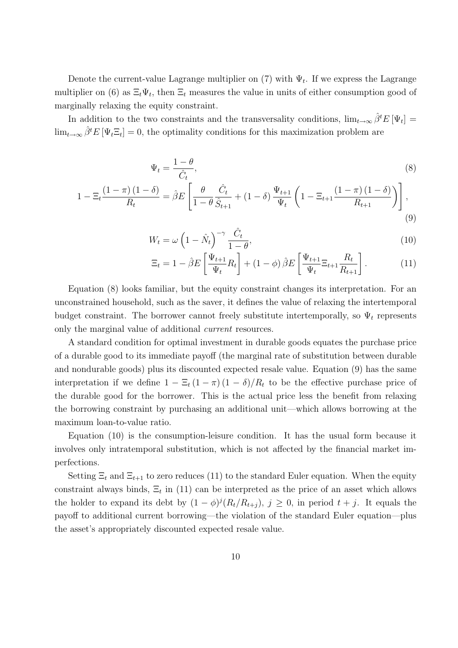Denote the current-value Lagrange multiplier on  $(7)$  with  $\Psi_t$ . If we express the Lagrange multiplier on (6) as  $\Xi_t \Psi_t$ , then  $\Xi_t$  measures the value in units of either consumption good of marginally relaxing the equity constraint.

In addition to the two constraints and the transversality conditions,  $\lim_{t\to\infty}\hat{\beta}^tE[\Psi_t]=$  $\lim_{t\to\infty}\hat{\beta}^t E[\Psi_t \Xi_t] = 0$ , the optimality conditions for this maximization problem are

$$
\Psi_t = \frac{1 - \theta}{\hat{C}_t},\tag{8}
$$

$$
1 - \Xi_t \frac{(1 - \pi)(1 - \delta)}{R_t} = \hat{\beta} E \left[ \frac{\theta}{1 - \theta} \frac{\hat{C}_t}{\hat{S}_{t+1}} + (1 - \delta) \frac{\Psi_{t+1}}{\Psi_t} \left( 1 - \Xi_{t+1} \frac{(1 - \pi)(1 - \delta)}{R_{t+1}} \right) \right],
$$
\n(9)

$$
W_t = \omega \left( 1 - \hat{N}_t \right)^{-\gamma} \frac{\hat{C}_t}{1 - \theta},\tag{10}
$$

$$
\Xi_t = 1 - \hat{\beta}E\left[\frac{\Psi_{t+1}}{\Psi_t}R_t\right] + (1 - \phi)\hat{\beta}E\left[\frac{\Psi_{t+1}}{\Psi_t}\Xi_{t+1}\frac{R_t}{R_{t+1}}\right].
$$
 (11)

Equation (8) looks familiar, but the equity constraint changes its interpretation. For an unconstrained household, such as the saver, it defines the value of relaxing the intertemporal budget constraint. The borrower cannot freely substitute intertemporally, so  $\Psi_t$  represents only the marginal value of additional current resources.

A standard condition for optimal investment in durable goods equates the purchase price of a durable good to its immediate payoff (the marginal rate of substitution between durable and nondurable goods) plus its discounted expected resale value. Equation (9) has the same interpretation if we define  $1 - \Xi_t (1 - \pi) (1 - \delta) / R_t$  to be the effective purchase price of the durable good for the borrower. This is the actual price less the benefit from relaxing the borrowing constraint by purchasing an additional unit—which allows borrowing at the maximum loan-to-value ratio.

Equation (10) is the consumption-leisure condition. It has the usual form because it involves only intratemporal substitution, which is not affected by the financial market imperfections.

Setting  $\Xi_t$  and  $\Xi_{t+1}$  to zero reduces (11) to the standard Euler equation. When the equity constraint always binds,  $\Xi_t$  in (11) can be interpreted as the price of an asset which allows the holder to expand its debt by  $(1 - \phi)^j (R_t/R_{t+j}), j \ge 0$ , in period  $t + j$ . It equals the payoff to additional current borrowing—the violation of the standard Euler equation—plus the asset's appropriately discounted expected resale value.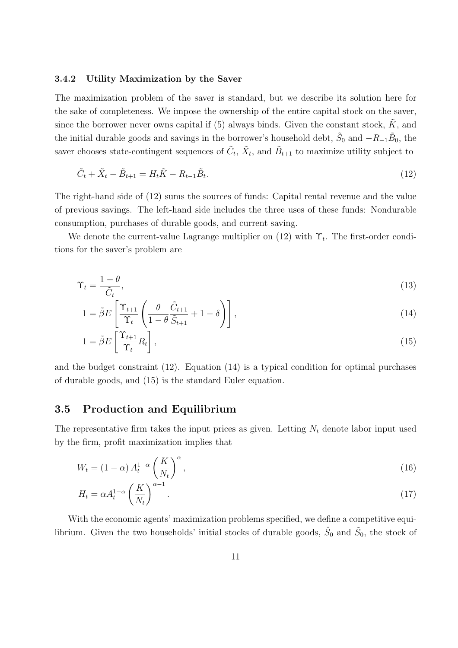#### 3.4.2 Utility Maximization by the Saver

The maximization problem of the saver is standard, but we describe its solution here for the sake of completeness. We impose the ownership of the entire capital stock on the saver, since the borrower never owns capital if (5) always binds. Given the constant stock,  $\tilde{K}$ , and the initial durable goods and savings in the borrower's household debt,  $\tilde{S}_0$  and  $-R_{-1}\tilde{B}_0$ , the saver chooses state-contingent sequences of  $\tilde{C}_t$ ,  $\tilde{X}_t$ , and  $\tilde{B}_{t+1}$  to maximize utility subject to

$$
\tilde{C}_t + \tilde{X}_t - \tilde{B}_{t+1} = H_t \tilde{K} - R_{t-1} \tilde{B}_t.
$$
\n(12)

The right-hand side of (12) sums the sources of funds: Capital rental revenue and the value of previous savings. The left-hand side includes the three uses of these funds: Nondurable consumption, purchases of durable goods, and current saving.

We denote the current-value Lagrange multiplier on  $(12)$  with  $\Upsilon_t$ . The first-order conditions for the saver's problem are

$$
\Upsilon_t = \frac{1 - \theta}{\tilde{C}_t},\tag{13}
$$

$$
1 = \tilde{\beta}E\left[\frac{\Upsilon_{t+1}}{\Upsilon_t}\left(\frac{\theta}{1-\theta}\frac{\tilde{C}_{t+1}}{\tilde{S}_{t+1}} + 1 - \delta\right)\right],\tag{14}
$$

$$
1 = \tilde{\beta}E\left[\frac{\Upsilon_{t+1}}{\Upsilon_t}R_t\right],\tag{15}
$$

and the budget constraint (12). Equation (14) is a typical condition for optimal purchases of durable goods, and (15) is the standard Euler equation.

#### 3.5 Production and Equilibrium

The representative firm takes the input prices as given. Letting  $N_t$  denote labor input used by the firm, profit maximization implies that

$$
W_t = (1 - \alpha) A_t^{1 - \alpha} \left(\frac{K}{N_t}\right)^{\alpha},\tag{16}
$$

$$
H_t = \alpha A_t^{1-\alpha} \left(\frac{K}{N_t}\right)^{\alpha-1}.\tag{17}
$$

With the economic agents' maximization problems specified, we define a competitive equilibrium. Given the two households' initial stocks of durable goods,  $\hat{S}_0$  and  $\tilde{S}_0$ , the stock of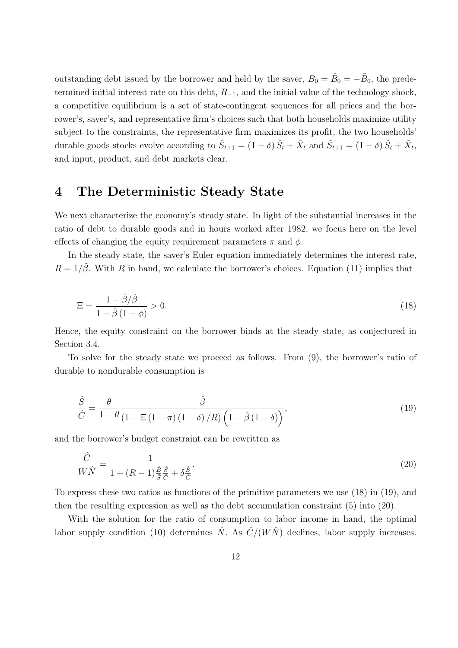outstanding debt issued by the borrower and held by the saver,  $B_0 = \hat{B}_0 = -\tilde{B}_0$ , the predetermined initial interest rate on this debt,  $R_{-1}$ , and the initial value of the technology shock, a competitive equilibrium is a set of state-contingent sequences for all prices and the borrower's, saver's, and representative firm's choices such that both households maximize utility subject to the constraints, the representative firm maximizes its profit, the two households' durable goods stocks evolve according to  $\hat{S}_{t+1} = (1 - \delta) \hat{S}_t + \hat{X}_t$  and  $\tilde{S}_{t+1} = (1 - \delta) \tilde{S}_t + \tilde{X}_t$ , and input, product, and debt markets clear.

### 4 The Deterministic Steady State

We next characterize the economy's steady state. In light of the substantial increases in the ratio of debt to durable goods and in hours worked after 1982, we focus here on the level effects of changing the equity requirement parameters  $\pi$  and  $\phi$ .

In the steady state, the saver's Euler equation immediately determines the interest rate,  $R = 1/\tilde{\beta}$ . With R in hand, we calculate the borrower's choices. Equation (11) implies that

$$
\Xi = \frac{1 - \hat{\beta}/\tilde{\beta}}{1 - \hat{\beta}(1 - \phi)} > 0.
$$
\n(18)

Hence, the equity constraint on the borrower binds at the steady state, as conjectured in Section 3.4.

To solve for the steady state we proceed as follows. From (9), the borrower's ratio of durable to nondurable consumption is

$$
\frac{\hat{S}}{\hat{C}} = \frac{\theta}{1 - \theta} \frac{\hat{\beta}}{(1 - \Xi(1 - \pi)(1 - \delta)/R) \left(1 - \hat{\beta}(1 - \delta)\right)},\tag{19}
$$

and the borrower's budget constraint can be rewritten as

$$
\frac{\hat{C}}{W\hat{N}} = \frac{1}{1 + (R - 1)\frac{\hat{B}}{\hat{S}}\frac{\hat{S}}{\hat{C}} + \delta\frac{\hat{S}}{\hat{C}}}.
$$
\n(20)

To express these two ratios as functions of the primitive parameters we use (18) in (19), and then the resulting expression as well as the debt accumulation constraint (5) into (20).

With the solution for the ratio of consumption to labor income in hand, the optimal labor supply condition (10) determines  $\hat{N}$ . As  $\hat{C}/(W\hat{N})$  declines, labor supply increases.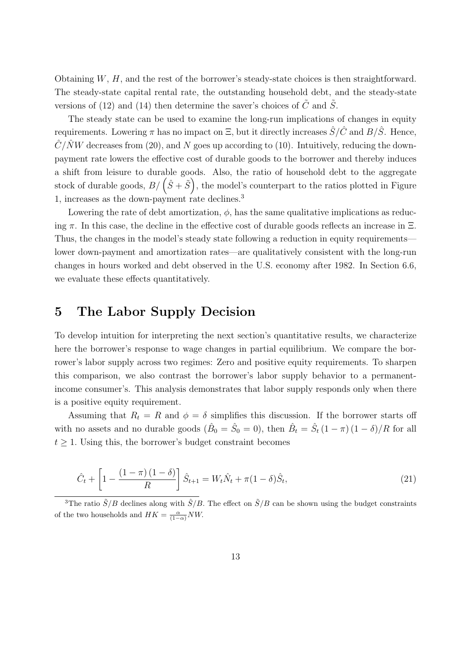Obtaining W, H, and the rest of the borrower's steady-state choices is then straightforward. The steady-state capital rental rate, the outstanding household debt, and the steady-state versions of (12) and (14) then determine the saver's choices of  $\tilde{C}$  and  $\tilde{S}$ .

The steady state can be used to examine the long-run implications of changes in equity requirements. Lowering  $\pi$  has no impact on  $\Xi$ , but it directly increases  $\hat{S}/\hat{C}$  and  $B/\hat{S}$ . Hence,  $\hat{C}/\hat{N}W$  decreases from (20), and N goes up according to (10). Intuitively, reducing the downpayment rate lowers the effective cost of durable goods to the borrower and thereby induces a shift from leisure to durable goods. Also, the ratio of household debt to the aggregate a shift from leisure to durable goods. Also, the ratio of household debt to the aggregate<br>stock of durable goods,  $B/\left(\hat{S} + \tilde{S}\right)$ , the model's counterpart to the ratios plotted in Figure 1, increases as the down-payment rate declines.<sup>3</sup>

Lowering the rate of debt amortization,  $\phi$ , has the same qualitative implications as reducing  $\pi$ . In this case, the decline in the effective cost of durable goods reflects an increase in  $\Xi$ . Thus, the changes in the model's steady state following a reduction in equity requirements lower down-payment and amortization rates—are qualitatively consistent with the long-run changes in hours worked and debt observed in the U.S. economy after 1982. In Section 6.6, we evaluate these effects quantitatively.

### 5 The Labor Supply Decision

To develop intuition for interpreting the next section's quantitative results, we characterize here the borrower's response to wage changes in partial equilibrium. We compare the borrower's labor supply across two regimes: Zero and positive equity requirements. To sharpen this comparison, we also contrast the borrower's labor supply behavior to a permanentincome consumer's. This analysis demonstrates that labor supply responds only when there is a positive equity requirement.

Assuming that  $R_t = R$  and  $\phi = \delta$  simplifies this discussion. If the borrower starts off with no assets and no durable goods  $(\hat{B}_0 = \hat{S}_0 = 0)$ , then  $\hat{B}_t = \hat{S}_t (1 - \pi) (1 - \delta) / R$  for all  $t \geq 1$ . Using this, the borrower's budget constraint becomes

$$
\hat{C}_t + \left[1 - \frac{(1 - \pi)(1 - \delta)}{R}\right] \hat{S}_{t+1} = W_t \hat{N}_t + \pi (1 - \delta) \hat{S}_t, \tag{21}
$$

<sup>3</sup>The ratio  $\tilde{S}/B$  declines along with  $\tilde{S}/B$ . The effect on  $\tilde{S}/B$  can be shown using the budget constraints of the two households and  $HK = \frac{\alpha}{(1-\alpha)}NW$ .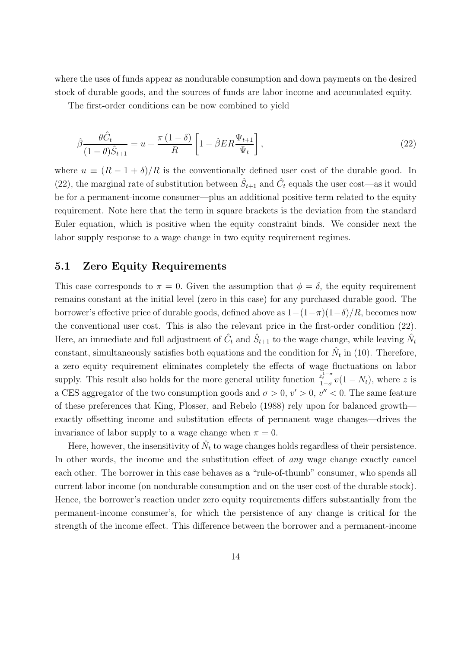where the uses of funds appear as nondurable consumption and down payments on the desired stock of durable goods, and the sources of funds are labor income and accumulated equity.

The first-order conditions can be now combined to yield

$$
\hat{\beta} \frac{\theta \hat{C}_t}{(1-\theta)\hat{S}_{t+1}} = u + \frac{\pi (1-\delta)}{R} \left[ 1 - \hat{\beta} ER \frac{\Psi_{t+1}}{\Psi_t} \right],\tag{22}
$$

where  $u \equiv (R - 1 + \delta)/R$  is the conventionally defined user cost of the durable good. In (22), the marginal rate of substitution between  $\hat{S}_{t+1}$  and  $\hat{C}_t$  equals the user cost—as it would be for a permanent-income consumer—plus an additional positive term related to the equity requirement. Note here that the term in square brackets is the deviation from the standard Euler equation, which is positive when the equity constraint binds. We consider next the labor supply response to a wage change in two equity requirement regimes.

#### 5.1 Zero Equity Requirements

This case corresponds to  $\pi = 0$ . Given the assumption that  $\phi = \delta$ , the equity requirement remains constant at the initial level (zero in this case) for any purchased durable good. The borrower's effective price of durable goods, defined above as  $1-(1-\pi)(1-\delta)/R$ , becomes now the conventional user cost. This is also the relevant price in the first-order condition (22). Here, an immediate and full adjustment of  $\hat{C}_t$  and  $\hat{S}_{t+1}$  to the wage change, while leaving  $\hat{N}_t$ constant, simultaneously satisfies both equations and the condition for  $\hat{N}_t$  in (10). Therefore, a zero equity requirement eliminates completely the effects of wage fluctuations on labor supply. This result also holds for the more general utility function  $\frac{z_t^{1-\sigma}}{1-\sigma}v(1-N_t)$ , where z is a CES aggregator of the two consumption goods and  $\sigma > 0$ ,  $v' > 0$ ,  $v'' < 0$ . The same feature of these preferences that King, Plosser, and Rebelo (1988) rely upon for balanced growth exactly offsetting income and substitution effects of permanent wage changes—drives the invariance of labor supply to a wage change when  $\pi = 0$ .

Here, however, the insensitivity of  $\hat{N}_t$  to wage changes holds regardless of their persistence. In other words, the income and the substitution effect of *any* wage change exactly cancel each other. The borrower in this case behaves as a "rule-of-thumb" consumer, who spends all current labor income (on nondurable consumption and on the user cost of the durable stock). Hence, the borrower's reaction under zero equity requirements differs substantially from the permanent-income consumer's, for which the persistence of any change is critical for the strength of the income effect. This difference between the borrower and a permanent-income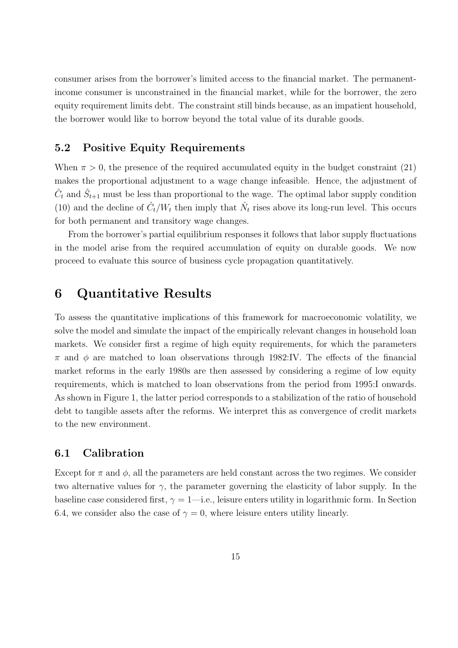consumer arises from the borrower's limited access to the financial market. The permanentincome consumer is unconstrained in the financial market, while for the borrower, the zero equity requirement limits debt. The constraint still binds because, as an impatient household, the borrower would like to borrow beyond the total value of its durable goods.

#### 5.2 Positive Equity Requirements

When  $\pi > 0$ , the presence of the required accumulated equity in the budget constraint (21) makes the proportional adjustment to a wage change infeasible. Hence, the adjustment of  $\hat{C}_t$  and  $\hat{S}_{t+1}$  must be less than proportional to the wage. The optimal labor supply condition (10) and the decline of  $\hat{C}_t/W_t$  then imply that  $\hat{N}_t$  rises above its long-run level. This occurs for both permanent and transitory wage changes.

From the borrower's partial equilibrium responses it follows that labor supply fluctuations in the model arise from the required accumulation of equity on durable goods. We now proceed to evaluate this source of business cycle propagation quantitatively.

### 6 Quantitative Results

To assess the quantitative implications of this framework for macroeconomic volatility, we solve the model and simulate the impact of the empirically relevant changes in household loan markets. We consider first a regime of high equity requirements, for which the parameters  $\pi$  and  $\phi$  are matched to loan observations through 1982:IV. The effects of the financial market reforms in the early 1980s are then assessed by considering a regime of low equity requirements, which is matched to loan observations from the period from 1995:I onwards. As shown in Figure 1, the latter period corresponds to a stabilization of the ratio of household debt to tangible assets after the reforms. We interpret this as convergence of credit markets to the new environment.

#### 6.1 Calibration

Except for  $\pi$  and  $\phi$ , all the parameters are held constant across the two regimes. We consider two alternative values for  $\gamma$ , the parameter governing the elasticity of labor supply. In the baseline case considered first,  $\gamma = 1$ —i.e., leisure enters utility in logarithmic form. In Section 6.4, we consider also the case of  $\gamma = 0$ , where leisure enters utility linearly.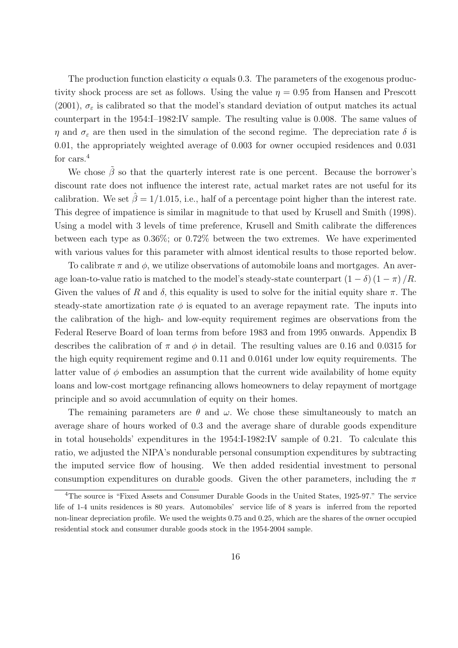The production function elasticity  $\alpha$  equals 0.3. The parameters of the exogenous productivity shock process are set as follows. Using the value  $\eta = 0.95$  from Hansen and Prescott (2001),  $\sigma_{\varepsilon}$  is calibrated so that the model's standard deviation of output matches its actual counterpart in the 1954:I–1982:IV sample. The resulting value is 0.008. The same values of  $\eta$  and  $\sigma_{\varepsilon}$  are then used in the simulation of the second regime. The depreciation rate  $\delta$  is 0.01, the appropriately weighted average of 0.003 for owner occupied residences and 0.031 for cars.<sup>4</sup>

We chose  $\hat{\beta}$  so that the quarterly interest rate is one percent. Because the borrower's discount rate does not influence the interest rate, actual market rates are not useful for its calibration. We set  $\hat{\beta} = 1/1.015$ , i.e., half of a percentage point higher than the interest rate. This degree of impatience is similar in magnitude to that used by Krusell and Smith (1998). Using a model with 3 levels of time preference, Krusell and Smith calibrate the differences between each type as 0.36%; or 0.72% between the two extremes. We have experimented with various values for this parameter with almost identical results to those reported below.

To calibrate  $\pi$  and  $\phi$ , we utilize observations of automobile loans and mortgages. An average loan-to-value ratio is matched to the model's steady-state counterpart  $(1 - \delta) (1 - \pi) /R$ . Given the values of R and  $\delta$ , this equality is used to solve for the initial equity share  $\pi$ . The steady-state amortization rate  $\phi$  is equated to an average repayment rate. The inputs into the calibration of the high- and low-equity requirement regimes are observations from the Federal Reserve Board of loan terms from before 1983 and from 1995 onwards. Appendix B describes the calibration of  $\pi$  and  $\phi$  in detail. The resulting values are 0.16 and 0.0315 for the high equity requirement regime and 0.11 and 0.0161 under low equity requirements. The latter value of  $\phi$  embodies an assumption that the current wide availability of home equity loans and low-cost mortgage refinancing allows homeowners to delay repayment of mortgage principle and so avoid accumulation of equity on their homes.

The remaining parameters are  $\theta$  and  $\omega$ . We chose these simultaneously to match an average share of hours worked of 0.3 and the average share of durable goods expenditure in total households' expenditures in the 1954:I-1982:IV sample of 0.21. To calculate this ratio, we adjusted the NIPA's nondurable personal consumption expenditures by subtracting the imputed service flow of housing. We then added residential investment to personal consumption expenditures on durable goods. Given the other parameters, including the  $\pi$ 

<sup>&</sup>lt;sup>4</sup>The source is "Fixed Assets and Consumer Durable Goods in the United States, 1925-97." The service life of 1-4 units residences is 80 years. Automobiles' service life of 8 years is inferred from the reported non-linear depreciation profile. We used the weights 0.75 and 0.25, which are the shares of the owner occupied residential stock and consumer durable goods stock in the 1954-2004 sample.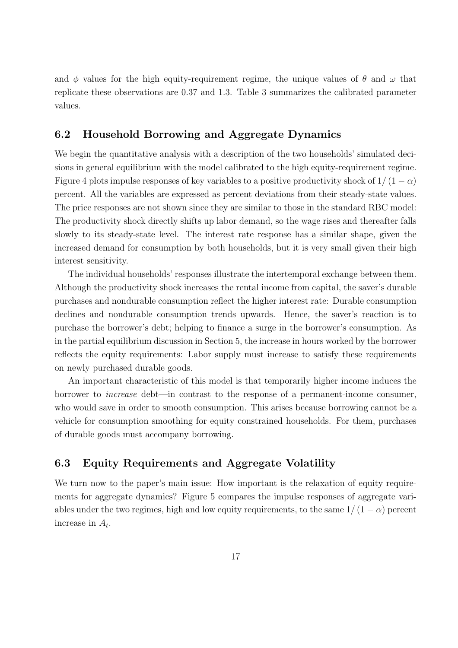and  $\phi$  values for the high equity-requirement regime, the unique values of  $\theta$  and  $\omega$  that replicate these observations are 0.37 and 1.3. Table 3 summarizes the calibrated parameter values.

#### 6.2 Household Borrowing and Aggregate Dynamics

We begin the quantitative analysis with a description of the two households' simulated decisions in general equilibrium with the model calibrated to the high equity-requirement regime. Figure 4 plots impulse responses of key variables to a positive productivity shock of  $1/(1-\alpha)$ percent. All the variables are expressed as percent deviations from their steady-state values. The price responses are not shown since they are similar to those in the standard RBC model: The productivity shock directly shifts up labor demand, so the wage rises and thereafter falls slowly to its steady-state level. The interest rate response has a similar shape, given the increased demand for consumption by both households, but it is very small given their high interest sensitivity.

The individual households' responses illustrate the intertemporal exchange between them. Although the productivity shock increases the rental income from capital, the saver's durable purchases and nondurable consumption reflect the higher interest rate: Durable consumption declines and nondurable consumption trends upwards. Hence, the saver's reaction is to purchase the borrower's debt; helping to finance a surge in the borrower's consumption. As in the partial equilibrium discussion in Section 5, the increase in hours worked by the borrower reflects the equity requirements: Labor supply must increase to satisfy these requirements on newly purchased durable goods.

An important characteristic of this model is that temporarily higher income induces the borrower to increase debt—in contrast to the response of a permanent-income consumer, who would save in order to smooth consumption. This arises because borrowing cannot be a vehicle for consumption smoothing for equity constrained households. For them, purchases of durable goods must accompany borrowing.

#### 6.3 Equity Requirements and Aggregate Volatility

We turn now to the paper's main issue: How important is the relaxation of equity requirements for aggregate dynamics? Figure 5 compares the impulse responses of aggregate variables under the two regimes, high and low equity requirements, to the same  $1/(1-\alpha)$  percent increase in  $A_t$ .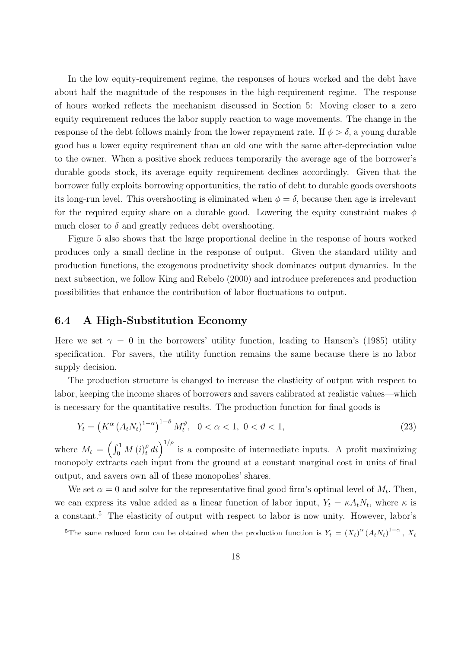In the low equity-requirement regime, the responses of hours worked and the debt have about half the magnitude of the responses in the high-requirement regime. The response of hours worked reflects the mechanism discussed in Section 5: Moving closer to a zero equity requirement reduces the labor supply reaction to wage movements. The change in the response of the debt follows mainly from the lower repayment rate. If  $\phi > \delta$ , a young durable good has a lower equity requirement than an old one with the same after-depreciation value to the owner. When a positive shock reduces temporarily the average age of the borrower's durable goods stock, its average equity requirement declines accordingly. Given that the borrower fully exploits borrowing opportunities, the ratio of debt to durable goods overshoots its long-run level. This overshooting is eliminated when  $\phi = \delta$ , because then age is irrelevant for the required equity share on a durable good. Lowering the equity constraint makes  $\phi$ much closer to  $\delta$  and greatly reduces debt overshooting.

Figure 5 also shows that the large proportional decline in the response of hours worked produces only a small decline in the response of output. Given the standard utility and production functions, the exogenous productivity shock dominates output dynamics. In the next subsection, we follow King and Rebelo (2000) and introduce preferences and production possibilities that enhance the contribution of labor fluctuations to output.

#### 6.4 A High-Substitution Economy

Here we set  $\gamma = 0$  in the borrowers' utility function, leading to Hansen's (1985) utility specification. For savers, the utility function remains the same because there is no labor supply decision.

The production structure is changed to increase the elasticity of output with respect to labor, keeping the income shares of borrowers and savers calibrated at realistic values—which is necessary for the quantitative results. The production function for final goods is

$$
Y_t = \left( K^{\alpha} \left( A_t N_t \right)^{1-\alpha} \right)^{1-\vartheta} M_t^{\vartheta}, \ \ 0 < \alpha < 1, \ 0 < \vartheta < 1,\tag{23}
$$

where  $M_t =$  $\int$   $r^1$  $\int_0^1 M\left(i\right)_t^{\rho}$  $\int_t^{\rho} di \bigg)^{1/\rho}$  is a composite of intermediate inputs. A profit maximizing monopoly extracts each input from the ground at a constant marginal cost in units of final output, and savers own all of these monopolies' shares.

We set  $\alpha = 0$  and solve for the representative final good firm's optimal level of  $M_t$ . Then, we can express its value added as a linear function of labor input,  $Y_t = \kappa A_t N_t$ , where  $\kappa$  is a constant.<sup>5</sup> The elasticity of output with respect to labor is now unity. However, labor's

<sup>&</sup>lt;sup>5</sup>The same reduced form can be obtained when the production function is  $Y_t = (X_t)^{\alpha} (A_t N_t)^{1-\alpha}$ ,  $X_t$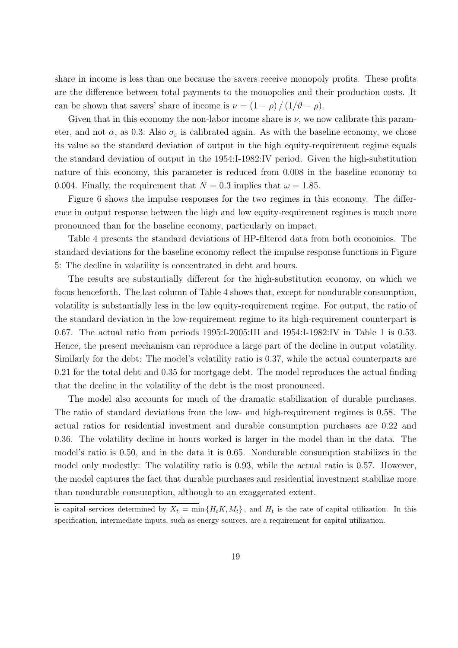share in income is less than one because the savers receive monopoly profits. These profits are the difference between total payments to the monopolies and their production costs. It can be shown that savers' share of income is  $\nu = (1 - \rho) / (1/\vartheta - \rho)$ .

Given that in this economy the non-labor income share is  $\nu$ , we now calibrate this parameter, and not  $\alpha$ , as 0.3. Also  $\sigma_{\varepsilon}$  is calibrated again. As with the baseline economy, we chose its value so the standard deviation of output in the high equity-requirement regime equals the standard deviation of output in the 1954:I-1982:IV period. Given the high-substitution nature of this economy, this parameter is reduced from 0.008 in the baseline economy to 0.004. Finally, the requirement that  $N = 0.3$  implies that  $\omega = 1.85$ .

Figure 6 shows the impulse responses for the two regimes in this economy. The difference in output response between the high and low equity-requirement regimes is much more pronounced than for the baseline economy, particularly on impact.

Table 4 presents the standard deviations of HP-filtered data from both economies. The standard deviations for the baseline economy reflect the impulse response functions in Figure 5: The decline in volatility is concentrated in debt and hours.

The results are substantially different for the high-substitution economy, on which we focus henceforth. The last column of Table 4 shows that, except for nondurable consumption, volatility is substantially less in the low equity-requirement regime. For output, the ratio of the standard deviation in the low-requirement regime to its high-requirement counterpart is 0.67. The actual ratio from periods 1995:I-2005:III and 1954:I-1982:IV in Table 1 is 0.53. Hence, the present mechanism can reproduce a large part of the decline in output volatility. Similarly for the debt: The model's volatility ratio is 0.37, while the actual counterparts are 0.21 for the total debt and 0.35 for mortgage debt. The model reproduces the actual finding that the decline in the volatility of the debt is the most pronounced.

The model also accounts for much of the dramatic stabilization of durable purchases. The ratio of standard deviations from the low- and high-requirement regimes is 0.58. The actual ratios for residential investment and durable consumption purchases are 0.22 and 0.36. The volatility decline in hours worked is larger in the model than in the data. The model's ratio is 0.50, and in the data it is 0.65. Nondurable consumption stabilizes in the model only modestly: The volatility ratio is 0.93, while the actual ratio is 0.57. However, the model captures the fact that durable purchases and residential investment stabilize more than nondurable consumption, although to an exaggerated extent.

is capital services determined by  $X_t = \min\{H_t K, M_t\}$ , and  $H_t$  is the rate of capital utilization. In this specification, intermediate inputs, such as energy sources, are a requirement for capital utilization.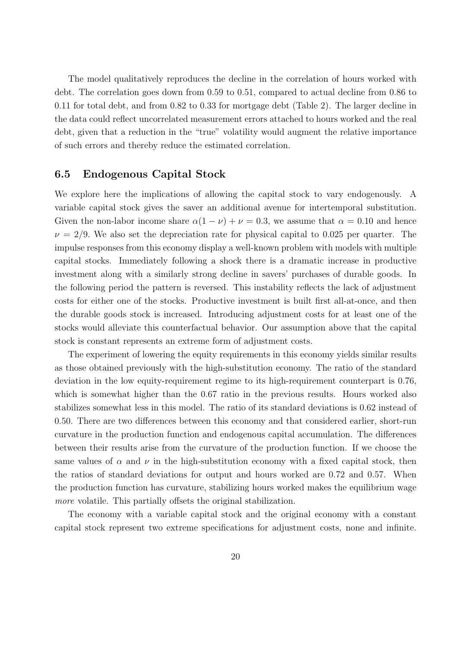The model qualitatively reproduces the decline in the correlation of hours worked with debt. The correlation goes down from 0.59 to 0.51, compared to actual decline from 0.86 to 0.11 for total debt, and from 0.82 to 0.33 for mortgage debt (Table 2). The larger decline in the data could reflect uncorrelated measurement errors attached to hours worked and the real debt, given that a reduction in the "true" volatility would augment the relative importance of such errors and thereby reduce the estimated correlation.

#### 6.5 Endogenous Capital Stock

We explore here the implications of allowing the capital stock to vary endogenously. A variable capital stock gives the saver an additional avenue for intertemporal substitution. Given the non-labor income share  $\alpha(1 - \nu) + \nu = 0.3$ , we assume that  $\alpha = 0.10$  and hence  $\nu = 2/9$ . We also set the depreciation rate for physical capital to 0.025 per quarter. The impulse responses from this economy display a well-known problem with models with multiple capital stocks. Immediately following a shock there is a dramatic increase in productive investment along with a similarly strong decline in savers' purchases of durable goods. In the following period the pattern is reversed. This instability reflects the lack of adjustment costs for either one of the stocks. Productive investment is built first all-at-once, and then the durable goods stock is increased. Introducing adjustment costs for at least one of the stocks would alleviate this counterfactual behavior. Our assumption above that the capital stock is constant represents an extreme form of adjustment costs.

The experiment of lowering the equity requirements in this economy yields similar results as those obtained previously with the high-substitution economy. The ratio of the standard deviation in the low equity-requirement regime to its high-requirement counterpart is 0.76, which is somewhat higher than the 0.67 ratio in the previous results. Hours worked also stabilizes somewhat less in this model. The ratio of its standard deviations is 0.62 instead of 0.50. There are two differences between this economy and that considered earlier, short-run curvature in the production function and endogenous capital accumulation. The differences between their results arise from the curvature of the production function. If we choose the same values of  $\alpha$  and  $\nu$  in the high-substitution economy with a fixed capital stock, then the ratios of standard deviations for output and hours worked are 0.72 and 0.57. When the production function has curvature, stabilizing hours worked makes the equilibrium wage more volatile. This partially offsets the original stabilization.

The economy with a variable capital stock and the original economy with a constant capital stock represent two extreme specifications for adjustment costs, none and infinite.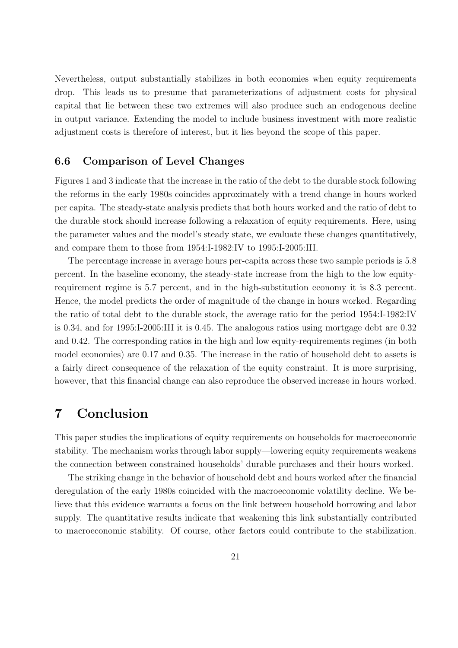Nevertheless, output substantially stabilizes in both economies when equity requirements drop. This leads us to presume that parameterizations of adjustment costs for physical capital that lie between these two extremes will also produce such an endogenous decline in output variance. Extending the model to include business investment with more realistic adjustment costs is therefore of interest, but it lies beyond the scope of this paper.

#### 6.6 Comparison of Level Changes

Figures 1 and 3 indicate that the increase in the ratio of the debt to the durable stock following the reforms in the early 1980s coincides approximately with a trend change in hours worked per capita. The steady-state analysis predicts that both hours worked and the ratio of debt to the durable stock should increase following a relaxation of equity requirements. Here, using the parameter values and the model's steady state, we evaluate these changes quantitatively, and compare them to those from 1954:I-1982:IV to 1995:I-2005:III.

The percentage increase in average hours per-capita across these two sample periods is 5.8 percent. In the baseline economy, the steady-state increase from the high to the low equityrequirement regime is 5.7 percent, and in the high-substitution economy it is 8.3 percent. Hence, the model predicts the order of magnitude of the change in hours worked. Regarding the ratio of total debt to the durable stock, the average ratio for the period 1954:I-1982:IV is 0.34, and for 1995:I-2005:III it is 0.45. The analogous ratios using mortgage debt are 0.32 and 0.42. The corresponding ratios in the high and low equity-requirements regimes (in both model economies) are 0.17 and 0.35. The increase in the ratio of household debt to assets is a fairly direct consequence of the relaxation of the equity constraint. It is more surprising, however, that this financial change can also reproduce the observed increase in hours worked.

### 7 Conclusion

This paper studies the implications of equity requirements on households for macroeconomic stability. The mechanism works through labor supply—lowering equity requirements weakens the connection between constrained households' durable purchases and their hours worked.

The striking change in the behavior of household debt and hours worked after the financial deregulation of the early 1980s coincided with the macroeconomic volatility decline. We believe that this evidence warrants a focus on the link between household borrowing and labor supply. The quantitative results indicate that weakening this link substantially contributed to macroeconomic stability. Of course, other factors could contribute to the stabilization.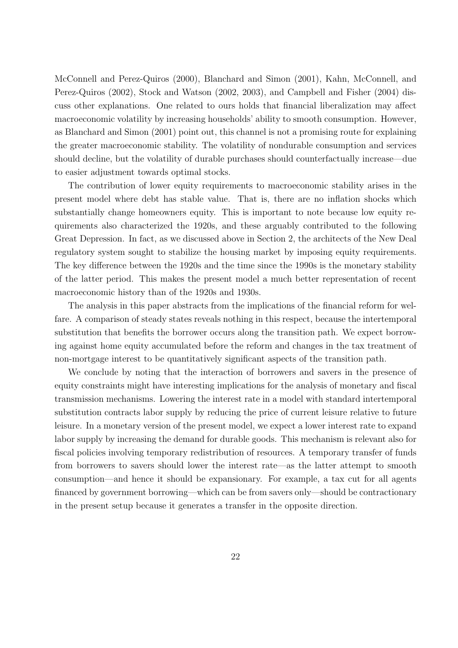McConnell and Perez-Quiros (2000), Blanchard and Simon (2001), Kahn, McConnell, and Perez-Quiros (2002), Stock and Watson (2002, 2003), and Campbell and Fisher (2004) discuss other explanations. One related to ours holds that financial liberalization may affect macroeconomic volatility by increasing households' ability to smooth consumption. However, as Blanchard and Simon (2001) point out, this channel is not a promising route for explaining the greater macroeconomic stability. The volatility of nondurable consumption and services should decline, but the volatility of durable purchases should counterfactually increase—due to easier adjustment towards optimal stocks.

The contribution of lower equity requirements to macroeconomic stability arises in the present model where debt has stable value. That is, there are no inflation shocks which substantially change homeowners equity. This is important to note because low equity requirements also characterized the 1920s, and these arguably contributed to the following Great Depression. In fact, as we discussed above in Section 2, the architects of the New Deal regulatory system sought to stabilize the housing market by imposing equity requirements. The key difference between the 1920s and the time since the 1990s is the monetary stability of the latter period. This makes the present model a much better representation of recent macroeconomic history than of the 1920s and 1930s.

The analysis in this paper abstracts from the implications of the financial reform for welfare. A comparison of steady states reveals nothing in this respect, because the intertemporal substitution that benefits the borrower occurs along the transition path. We expect borrowing against home equity accumulated before the reform and changes in the tax treatment of non-mortgage interest to be quantitatively significant aspects of the transition path.

We conclude by noting that the interaction of borrowers and savers in the presence of equity constraints might have interesting implications for the analysis of monetary and fiscal transmission mechanisms. Lowering the interest rate in a model with standard intertemporal substitution contracts labor supply by reducing the price of current leisure relative to future leisure. In a monetary version of the present model, we expect a lower interest rate to expand labor supply by increasing the demand for durable goods. This mechanism is relevant also for fiscal policies involving temporary redistribution of resources. A temporary transfer of funds from borrowers to savers should lower the interest rate—as the latter attempt to smooth consumption—and hence it should be expansionary. For example, a tax cut for all agents financed by government borrowing—which can be from savers only—should be contractionary in the present setup because it generates a transfer in the opposite direction.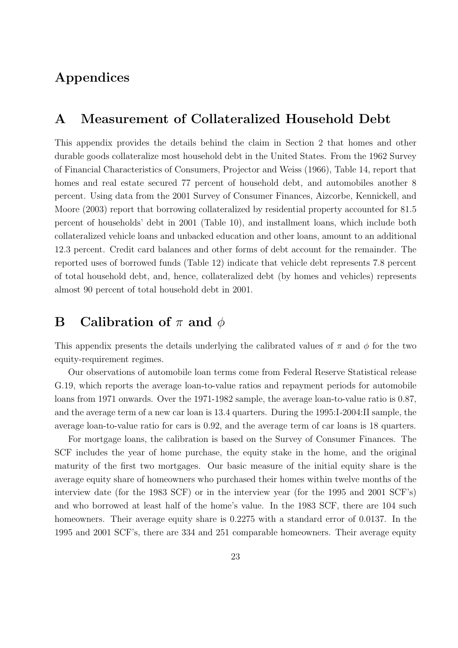## Appendices

### A Measurement of Collateralized Household Debt

This appendix provides the details behind the claim in Section 2 that homes and other durable goods collateralize most household debt in the United States. From the 1962 Survey of Financial Characteristics of Consumers, Projector and Weiss (1966), Table 14, report that homes and real estate secured 77 percent of household debt, and automobiles another 8 percent. Using data from the 2001 Survey of Consumer Finances, Aizcorbe, Kennickell, and Moore (2003) report that borrowing collateralized by residential property accounted for 81.5 percent of households' debt in 2001 (Table 10), and installment loans, which include both collateralized vehicle loans and unbacked education and other loans, amount to an additional 12.3 percent. Credit card balances and other forms of debt account for the remainder. The reported uses of borrowed funds (Table 12) indicate that vehicle debt represents 7.8 percent of total household debt, and, hence, collateralized debt (by homes and vehicles) represents almost 90 percent of total household debt in 2001.

### **B** Calibration of  $\pi$  and  $\phi$

This appendix presents the details underlying the calibrated values of  $\pi$  and  $\phi$  for the two equity-requirement regimes.

Our observations of automobile loan terms come from Federal Reserve Statistical release G.19, which reports the average loan-to-value ratios and repayment periods for automobile loans from 1971 onwards. Over the 1971-1982 sample, the average loan-to-value ratio is 0.87, and the average term of a new car loan is 13.4 quarters. During the 1995:I-2004:II sample, the average loan-to-value ratio for cars is 0.92, and the average term of car loans is 18 quarters.

For mortgage loans, the calibration is based on the Survey of Consumer Finances. The SCF includes the year of home purchase, the equity stake in the home, and the original maturity of the first two mortgages. Our basic measure of the initial equity share is the average equity share of homeowners who purchased their homes within twelve months of the interview date (for the 1983 SCF) or in the interview year (for the 1995 and 2001 SCF's) and who borrowed at least half of the home's value. In the 1983 SCF, there are 104 such homeowners. Their average equity share is 0.2275 with a standard error of 0.0137. In the 1995 and 2001 SCF's, there are 334 and 251 comparable homeowners. Their average equity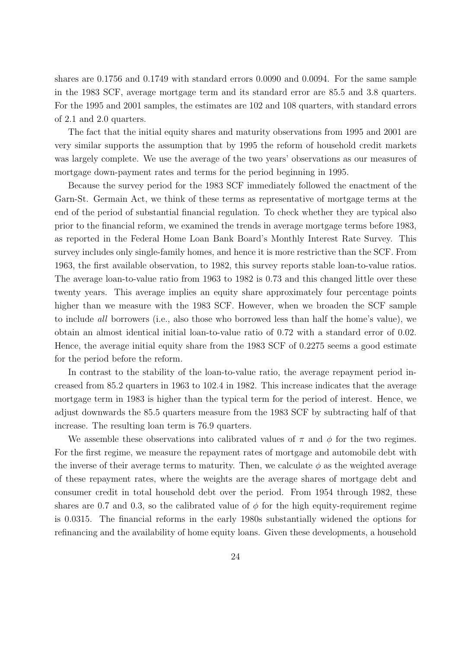shares are 0.1756 and 0.1749 with standard errors 0.0090 and 0.0094. For the same sample in the 1983 SCF, average mortgage term and its standard error are 85.5 and 3.8 quarters. For the 1995 and 2001 samples, the estimates are 102 and 108 quarters, with standard errors of 2.1 and 2.0 quarters.

The fact that the initial equity shares and maturity observations from 1995 and 2001 are very similar supports the assumption that by 1995 the reform of household credit markets was largely complete. We use the average of the two years' observations as our measures of mortgage down-payment rates and terms for the period beginning in 1995.

Because the survey period for the 1983 SCF immediately followed the enactment of the Garn-St. Germain Act, we think of these terms as representative of mortgage terms at the end of the period of substantial financial regulation. To check whether they are typical also prior to the financial reform, we examined the trends in average mortgage terms before 1983, as reported in the Federal Home Loan Bank Board's Monthly Interest Rate Survey. This survey includes only single-family homes, and hence it is more restrictive than the SCF. From 1963, the first available observation, to 1982, this survey reports stable loan-to-value ratios. The average loan-to-value ratio from 1963 to 1982 is 0.73 and this changed little over these twenty years. This average implies an equity share approximately four percentage points higher than we measure with the 1983 SCF. However, when we broaden the SCF sample to include all borrowers (i.e., also those who borrowed less than half the home's value), we obtain an almost identical initial loan-to-value ratio of 0.72 with a standard error of 0.02. Hence, the average initial equity share from the 1983 SCF of 0.2275 seems a good estimate for the period before the reform.

In contrast to the stability of the loan-to-value ratio, the average repayment period increased from 85.2 quarters in 1963 to 102.4 in 1982. This increase indicates that the average mortgage term in 1983 is higher than the typical term for the period of interest. Hence, we adjust downwards the 85.5 quarters measure from the 1983 SCF by subtracting half of that increase. The resulting loan term is 76.9 quarters.

We assemble these observations into calibrated values of  $\pi$  and  $\phi$  for the two regimes. For the first regime, we measure the repayment rates of mortgage and automobile debt with the inverse of their average terms to maturity. Then, we calculate  $\phi$  as the weighted average of these repayment rates, where the weights are the average shares of mortgage debt and consumer credit in total household debt over the period. From 1954 through 1982, these shares are 0.7 and 0.3, so the calibrated value of  $\phi$  for the high equity-requirement regime is 0.0315. The financial reforms in the early 1980s substantially widened the options for refinancing and the availability of home equity loans. Given these developments, a household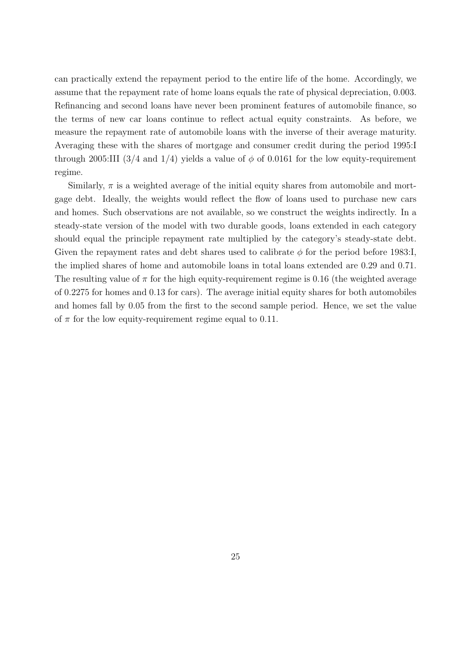can practically extend the repayment period to the entire life of the home. Accordingly, we assume that the repayment rate of home loans equals the rate of physical depreciation, 0.003. Refinancing and second loans have never been prominent features of automobile finance, so the terms of new car loans continue to reflect actual equity constraints. As before, we measure the repayment rate of automobile loans with the inverse of their average maturity. Averaging these with the shares of mortgage and consumer credit during the period 1995:I through 2005:III (3/4 and 1/4) yields a value of  $\phi$  of 0.0161 for the low equity-requirement regime.

Similarly,  $\pi$  is a weighted average of the initial equity shares from automobile and mortgage debt. Ideally, the weights would reflect the flow of loans used to purchase new cars and homes. Such observations are not available, so we construct the weights indirectly. In a steady-state version of the model with two durable goods, loans extended in each category should equal the principle repayment rate multiplied by the category's steady-state debt. Given the repayment rates and debt shares used to calibrate  $\phi$  for the period before 1983:I, the implied shares of home and automobile loans in total loans extended are 0.29 and 0.71. The resulting value of  $\pi$  for the high equity-requirement regime is 0.16 (the weighted average of 0.2275 for homes and 0.13 for cars). The average initial equity shares for both automobiles and homes fall by 0.05 from the first to the second sample period. Hence, we set the value of  $\pi$  for the low equity-requirement regime equal to 0.11.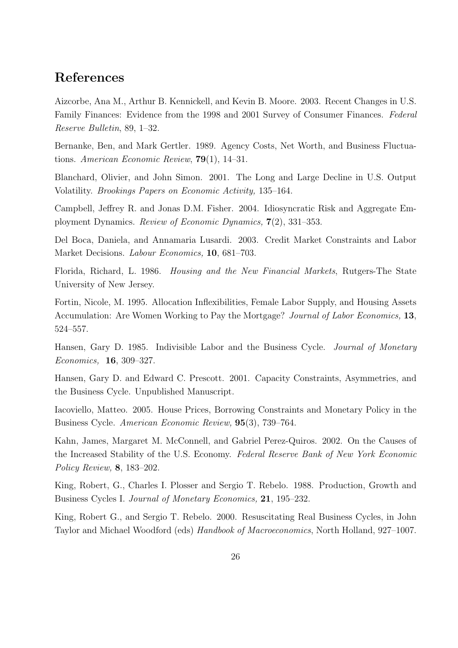### References

Aizcorbe, Ana M., Arthur B. Kennickell, and Kevin B. Moore. 2003. Recent Changes in U.S. Family Finances: Evidence from the 1998 and 2001 Survey of Consumer Finances. Federal Reserve Bulletin, 89, 1–32.

Bernanke, Ben, and Mark Gertler. 1989. Agency Costs, Net Worth, and Business Fluctuations. American Economic Review, 79(1), 14–31.

Blanchard, Olivier, and John Simon. 2001. The Long and Large Decline in U.S. Output Volatility. Brookings Papers on Economic Activity, 135–164.

Campbell, Jeffrey R. and Jonas D.M. Fisher. 2004. Idiosyncratic Risk and Aggregate Employment Dynamics. Review of Economic Dynamics, 7(2), 331–353.

Del Boca, Daniela, and Annamaria Lusardi. 2003. Credit Market Constraints and Labor Market Decisions. *Labour Economics*, **10**, 681–703.

Florida, Richard, L. 1986. Housing and the New Financial Markets, Rutgers-The State University of New Jersey.

Fortin, Nicole, M. 1995. Allocation Inflexibilities, Female Labor Supply, and Housing Assets Accumulation: Are Women Working to Pay the Mortgage? *Journal of Labor Economics*, 13, 524–557.

Hansen, Gary D. 1985. Indivisible Labor and the Business Cycle. *Journal of Monetary* Economics, 16, 309–327.

Hansen, Gary D. and Edward C. Prescott. 2001. Capacity Constraints, Asymmetries, and the Business Cycle. Unpublished Manuscript.

Iacoviello, Matteo. 2005. House Prices, Borrowing Constraints and Monetary Policy in the Business Cycle. American Economic Review, 95(3), 739–764.

Kahn, James, Margaret M. McConnell, and Gabriel Perez-Quiros. 2002. On the Causes of the Increased Stability of the U.S. Economy. Federal Reserve Bank of New York Economic Policy Review, 8, 183–202.

King, Robert, G., Charles I. Plosser and Sergio T. Rebelo. 1988. Production, Growth and Business Cycles I. Journal of Monetary Economics, 21, 195–232.

King, Robert G., and Sergio T. Rebelo. 2000. Resuscitating Real Business Cycles, in John Taylor and Michael Woodford (eds) Handbook of Macroeconomics, North Holland, 927–1007.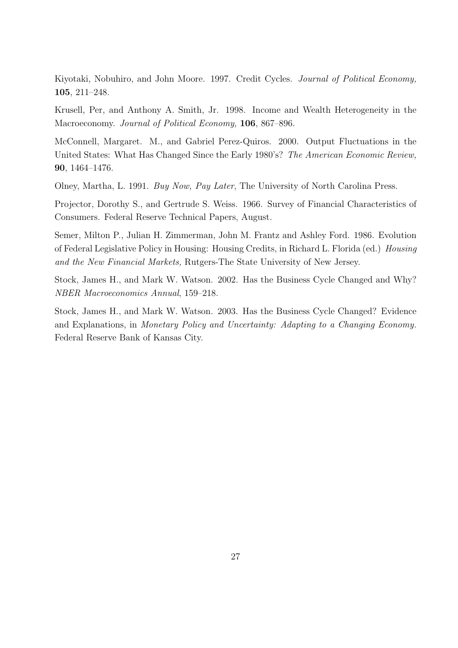Kiyotaki, Nobuhiro, and John Moore. 1997. Credit Cycles. Journal of Political Economy, 105, 211–248.

Krusell, Per, and Anthony A. Smith, Jr. 1998. Income and Wealth Heterogeneity in the Macroeconomy. Journal of Political Economy, 106, 867–896.

McConnell, Margaret. M., and Gabriel Perez-Quiros. 2000. Output Fluctuations in the United States: What Has Changed Since the Early 1980's? The American Economic Review, 90, 1464–1476.

Olney, Martha, L. 1991. Buy Now, Pay Later, The University of North Carolina Press.

Projector, Dorothy S., and Gertrude S. Weiss. 1966. Survey of Financial Characteristics of Consumers. Federal Reserve Technical Papers, August.

Semer, Milton P., Julian H. Zimmerman, John M. Frantz and Ashley Ford. 1986. Evolution of Federal Legislative Policy in Housing: Housing Credits, in Richard L. Florida (ed.) Housing and the New Financial Markets, Rutgers-The State University of New Jersey.

Stock, James H., and Mark W. Watson. 2002. Has the Business Cycle Changed and Why? NBER Macroeconomics Annual, 159–218.

Stock, James H., and Mark W. Watson. 2003. Has the Business Cycle Changed? Evidence and Explanations, in Monetary Policy and Uncertainty: Adapting to a Changing Economy. Federal Reserve Bank of Kansas City.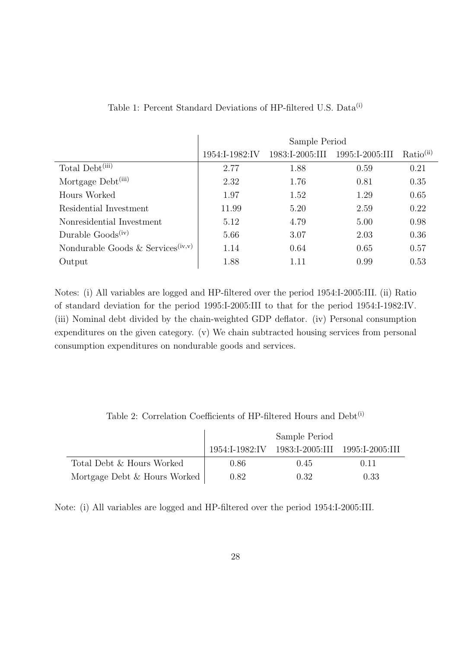|                                               | Sample Period  |                 |                 |                       |  |  |  |
|-----------------------------------------------|----------------|-----------------|-----------------|-----------------------|--|--|--|
|                                               | 1954:I-1982:IV | 1983:I-2005:III | 1995:I-2005:III | Ratio <sup>(ii)</sup> |  |  |  |
| Total Debt <sup>(iii)</sup>                   | 2.77           | 1.88            | 0.59            | 0.21                  |  |  |  |
| Mortgage Debt <sup>(iii)</sup>                | 2.32           | 1.76            | 0.81            | 0.35                  |  |  |  |
| Hours Worked                                  | 1.97           | 1.52            | 1.29            | 0.65                  |  |  |  |
| Residential Investment                        | 11.99          | 5.20            | 2.59            | 0.22                  |  |  |  |
| Nonresidential Investment                     | 5.12           | 4.79            | 5.00            | 0.98                  |  |  |  |
| Durable $Goods(iv)$                           | 5.66           | 3.07            | 2.03            | 0.36                  |  |  |  |
| Nondurable Goods & Services <sup>(iv,v)</sup> | 1.14           | 0.64            | 0.65            | 0.57                  |  |  |  |
| Output                                        | 1.88           | 1.11            | 0.99            | 0.53                  |  |  |  |

Table 1: Percent Standard Deviations of HP-filtered U.S. Data<sup>(i)</sup>

Notes: (i) All variables are logged and HP-filtered over the period 1954:I-2005:III. (ii) Ratio of standard deviation for the period 1995:I-2005:III to that for the period 1954:I-1982:IV. (iii) Nominal debt divided by the chain-weighted GDP deflator. (iv) Personal consumption expenditures on the given category. (v) We chain subtracted housing services from personal consumption expenditures on nondurable goods and services.

Table 2: Correlation Coefficients of HP-filtered Hours and Debt<sup>(i)</sup>

|                              | Sample Period |                                                |      |  |  |
|------------------------------|---------------|------------------------------------------------|------|--|--|
|                              |               | 1954:I-1982:IV 1983:I-2005:III 1995:I-2005:III |      |  |  |
| Total Debt & Hours Worked    | 0.86          | 0.45                                           | 0.11 |  |  |
| Mortgage Debt & Hours Worked | 0.82          | 0.32                                           | 0.33 |  |  |

Note: (i) All variables are logged and HP-filtered over the period 1954:I-2005:III.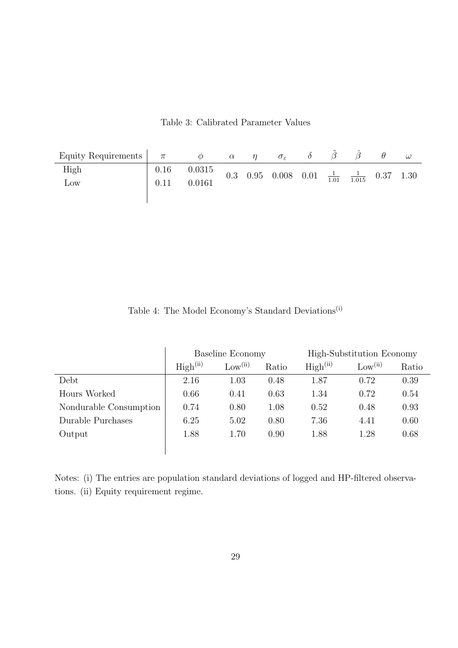Table 3: Calibrated Parameter Values

| Equity Requirements $\begin{vmatrix} \pi \end{vmatrix}$ |      |        | $\alpha$ | $\sigma_{\varepsilon}$                                           |  |  | $\omega$ |
|---------------------------------------------------------|------|--------|----------|------------------------------------------------------------------|--|--|----------|
| High                                                    | 0.16 | 0.0315 |          | 0.3 0.95 0.008 0.01 $\frac{1}{1.01}$ $\frac{1}{1.015}$ 0.37 1.30 |  |  |          |
| $_{\text{Low}}$                                         | 0.11 | 0.0161 |          |                                                                  |  |  |          |
|                                                         |      |        |          |                                                                  |  |  |          |

Table 4: The Model Economy's Standard Deviations $^{\rm (i)}$ 

|                        | Baseline Economy     |                     |       | High-Substitution Economy |                     |       |  |
|------------------------|----------------------|---------------------|-------|---------------------------|---------------------|-------|--|
|                        | High <sup>(ii)</sup> | Low <sup>(ii)</sup> | Ratio | High <sup>(ii)</sup>      | Low <sup>(ii)</sup> | Ratio |  |
| Debt                   | 2.16                 | 1.03                | 0.48  | 1.87                      | 0.72                | 0.39  |  |
| Hours Worked           | 0.66                 | 0.41                | 0.63  | 1.34                      | 0.72                | 0.54  |  |
| Nondurable Consumption | 0.74                 | 0.80                | 1.08  | 0.52                      | 0.48                | 0.93  |  |
| Durable Purchases      | 6.25                 | 5.02                | 0.80  | 7.36                      | 4.41                | 0.60  |  |
| Output                 | 1.88                 | 1.70                | 0.90  | 1.88                      | 1.28                | 0.68  |  |
|                        |                      |                     |       |                           |                     |       |  |

Notes: (i) The entries are population standard deviations of logged and HP-filtered observations. (ii) Equity requirement regime.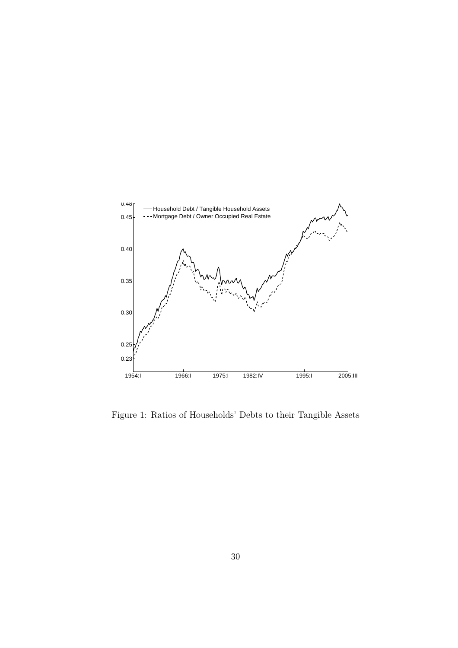

Figure 1: Ratios of Households' Debts to their Tangible Assets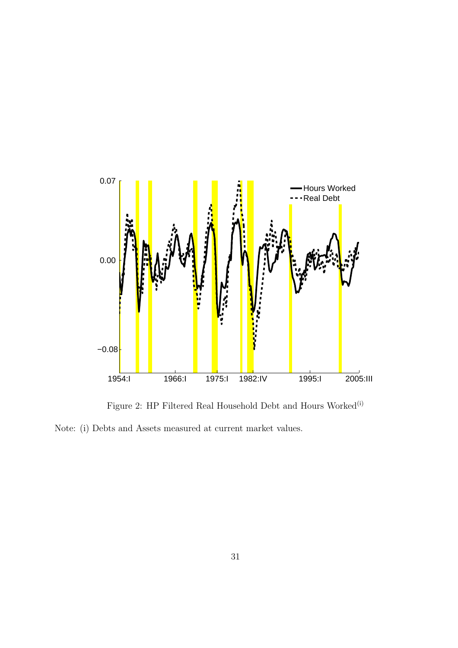

Figure 2: HP Filtered Real Household Debt and Hours  $\mathit{Worked}^{\text{(i)}}$ 

Note: (i) Debts and Assets measured at current market values.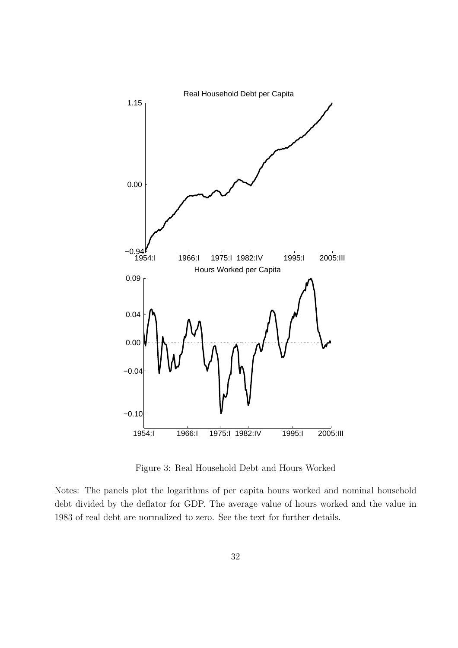

Figure 3: Real Household Debt and Hours Worked

Notes: The panels plot the logarithms of per capita hours worked and nominal household debt divided by the deflator for GDP. The average value of hours worked and the value in 1983 of real debt are normalized to zero. See the text for further details.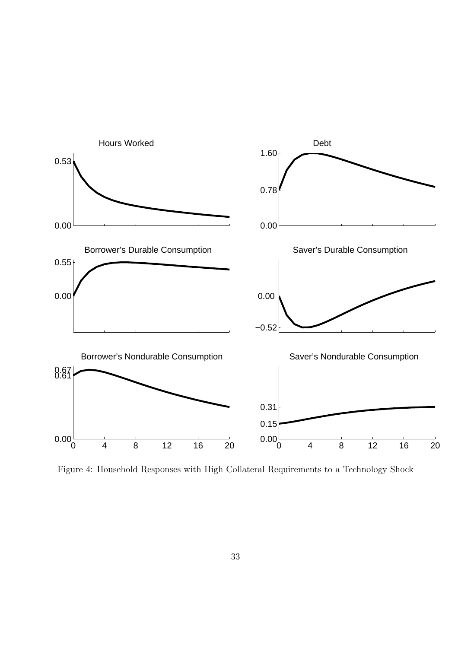

Figure 4: Household Responses with High Collateral Requirements to a Technology Shock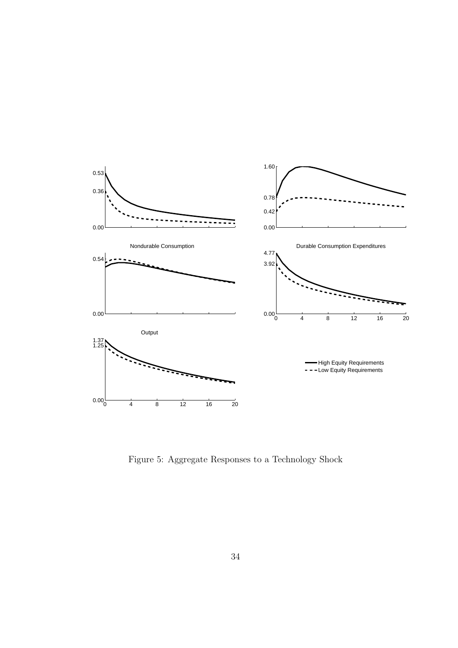

Figure 5: Aggregate Responses to a Technology Shock